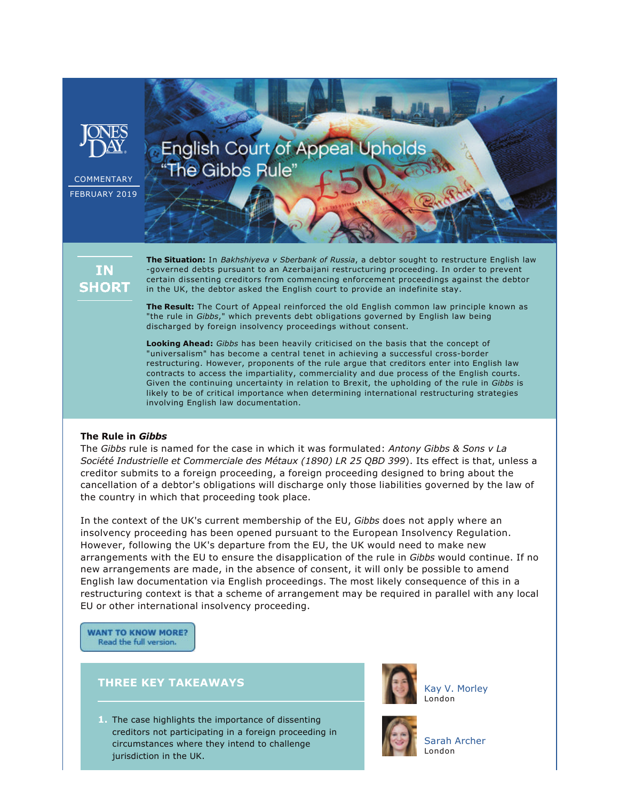

IN. **SHORT**  **The Situation:** In *Bakhshiyeva v Sberbank of Russia*, a debtor sought to restructure English law governed debts pursuant to an Azerbaijani restructuring proceeding. In order to prevent certain dissenting creditors from commencing enforcement proceedings against the debtor in the UK, the debtor asked the English court to provide an indefinite stay.

**The Result:** The Court of Appeal reinforced the old English common law principle known as "the rule in *Gibbs*," which prevents debt obligations governed by English law being discharged by foreign insolvency proceedings without consent.

**Looking Ahead:** *Gibbs* has been heavily criticised on the basis that the concept of "universalism" has become a central tenet in achieving a successful cross-border restructuring. However, proponents of the rule argue that creditors enter into English law contracts to access the impartiality, commerciality and due process of the English courts. Given the continuing uncertainty in relation to Brexit, the upholding of the rule in *Gibbs* is likely to be of critical importance when determining international restructuring strategies involving English law documentation.

# **The Rule in** *Gibbs*

The *Gibbs* rule is named for the case in which it was formulated: *Antony Gibbs & Sons v La Société Industrielle et Commerciale des Métaux (1890) LR 25 QBD 399*). Its effect is that, unless a creditor submits to a foreign proceeding, a foreign proceeding designed to bring about the cancellation of a debtor's obligations will discharge only those liabilities governed by the law of the country in which that proceeding took place.

In the context of the UK's current membership of the EU, *Gibbs* does not apply where an insolvency proceeding has been opened pursuant to the European Insolvency Regulation. However, following the UK's departure from the EU, the UK would need to make new arrangements with the EU to ensure the disapplication of the rule in *Gibbs* would continue. If no new arrangements are made, in the absence of consent, it will only be possible to amend English law documentation via English proceedings. The most likely consequence of this in a restructuring context is that a scheme of arrangement may be required in parallel with any local EU or other international insolvency proceeding.

**WANT TO KNOW MORE?** Read the full version.

# **THREE KEY TAKEAWAYS**

**1.** The case highlights the importance of dissenting creditors not participating in a foreign proceeding in circumstances where they intend to challenge jurisdiction in the UK.



[Kay V. Morley](https://www.jonesday.com/kmorley/) London



[Sarah Archer](https://www.jonesday.com/saraharcher/) London